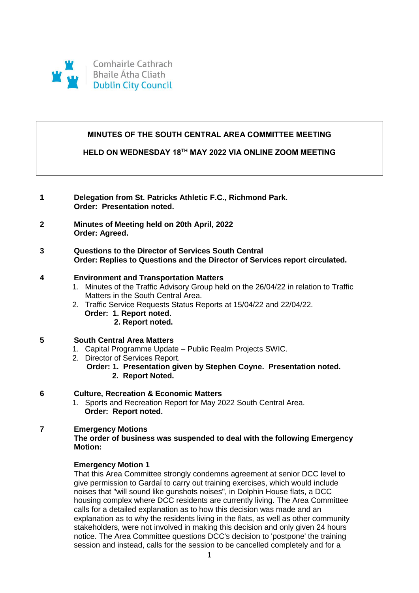

# **MINUTES OF THE SOUTH CENTRAL AREA COMMITTEE MEETING**

# **HELD ON WEDNESDAY 18TH MAY 2022 VIA ONLINE ZOOM MEETING**

- **1 Delegation from St. Patricks Athletic F.C., Richmond Park. Order: Presentation noted.**
- **2 Minutes of Meeting held on 20th April, 2022 Order: Agreed.**

## **3 Questions to the Director of Services South Central Order: Replies to Questions and the Director of Services report circulated.**

## **4 Environment and Transportation Matters**

- 1. Minutes of the Traffic Advisory Group held on the 26/04/22 in relation to Traffic Matters in the South Central Area.
- 2. Traffic Service Requests Status Reports at 15/04/22 and 22/04/22.  **Order: 1. Report noted. 2. Report noted.**

## **5 South Central Area Matters**

- 1. Capital Programme Update Public Realm Projects SWIC.
- 2. Director of Services Report.
	- **Order: 1. Presentation given by Stephen Coyne. Presentation noted. 2. Report Noted.**

## **6 Culture, Recreation & Economic Matters**

1. Sports and Recreation Report for May 2022 South Central Area.  **Order: Report noted.** 

# **7 Emergency Motions**

## **The order of business was suspended to deal with the following Emergency Motion:**

## **Emergency Motion 1**

That this Area Committee strongly condemns agreement at senior DCC level to give permission to Gardaí to carry out training exercises, which would include noises that "will sound like gunshots noises", in Dolphin House flats, a DCC housing complex where DCC residents are currently living. The Area Committee calls for a detailed explanation as to how this decision was made and an explanation as to why the residents living in the flats, as well as other community stakeholders, were not involved in making this decision and only given 24 hours notice. The Area Committee questions DCC's decision to 'postpone' the training session and instead, calls for the session to be cancelled completely and for a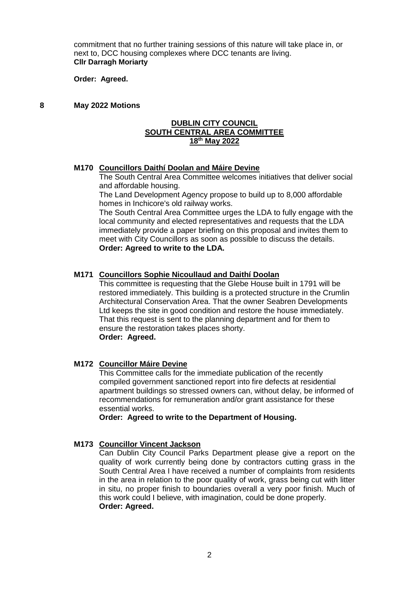commitment that no further training sessions of this nature will take place in, or next to, DCC housing complexes where DCC tenants are living. **Cllr Darragh Moriarty**

**Order: Agreed.**

### **8 May 2022 Motions**

#### **DUBLIN CITY COUNCIL SOUTH CENTRAL AREA COMMITTEE 18th May 2022**

#### **M170 Councillors Daithí Doolan and Máire Devine**

The South Central Area Committee welcomes initiatives that deliver social and affordable housing.

The Land Development Agency propose to build up to 8,000 affordable homes in Inchicore's old railway works.

The South Central Area Committee urges the LDA to fully engage with the local community and elected representatives and requests that the LDA immediately provide a paper briefing on this proposal and invites them to meet with City Councillors as soon as possible to discuss the details. **Order: Agreed to write to the LDA.**

## **M171 Councillors Sophie Nicoullaud and Daithí Doolan**

This committee is requesting that the Glebe House built in 1791 will be restored immediately. This building is a protected structure in the Crumlin Architectural Conservation Area. That the owner Seabren Developments Ltd keeps the site in good condition and restore the house immediately. That this request is sent to the planning department and for them to ensure the restoration takes places shorty. **Order: Agreed.**

#### **M172 Councillor Máire Devine**

This Committee calls for the immediate publication of the recently compiled government sanctioned report into fire defects at residential apartment buildings so stressed owners can, without delay, be informed of recommendations for remuneration and/or grant assistance for these essential works.

#### **Order: Agreed to write to the Department of Housing.**

#### **M173 Councillor Vincent Jackson**

Can Dublin City Council Parks Department please give a report on the quality of work currently being done by contractors cutting grass in the South Central Area I have received a number of complaints from residents in the area in relation to the poor quality of work, grass being cut with litter in situ, no proper finish to boundaries overall a very poor finish. Much of this work could I believe, with imagination, could be done properly. **Order: Agreed.**